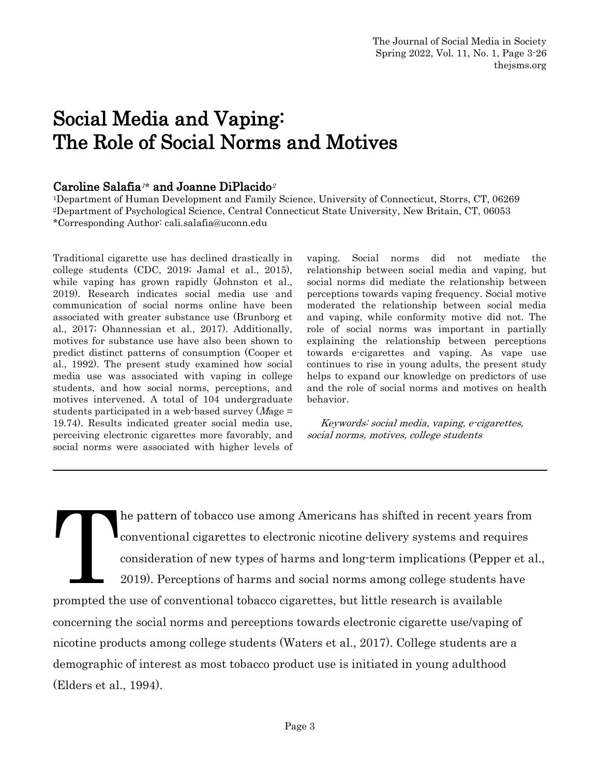# Social Media and Vaping: The Role of Social Norms and Motives

### Caroline Salafia<sup> $1*$ </sup> and Joanne DiPlacido<sup>2</sup>

<sup>1</sup>Department of Human Development and Family Science, University of Connecticut, Storrs, CT, 06269 <sup>2</sup>Department of Psychological Science, Central Connecticut State University, New Britain, CT, 06053 \*Corresponding Author: cali.salafia@uconn.edu

Traditional cigarette use has declined drastically in college students (CDC, 2019; Jamal et al., 2015), while vaping has grown rapidly (Johnston et al., 2019). Research indicates social media use and communication of social norms online have been associated with greater substance use (Brunborg et al., 2017; Ohannessian et al., 2017). Additionally, motives for substance use have also been shown to predict distinct patterns of consumption (Cooper et al., 1992). The present study examined how social media use was associated with vaping in college students, and how social norms, perceptions, and motives intervened. A total of 104 undergraduate students participated in a web-based survey  $(Mage =$ 19.74). Results indicated greater social media use, perceiving electronic cigarettes more favorably, and social norms were associated with higher levels of

vaping. Social norms did not mediate the relationship between social media and vaping, but social norms did mediate the relationship between perceptions towards vaping frequency. Social motive moderated the relationship between social media and vaping, while conformity motive did not. The role of social norms was important in partially explaining the relationship between perceptions towards e-cigarettes and vaping. As vape use continues to rise in young adults, the present study helps to expand our knowledge on predictors of use and the role of social norms and motives on health behavior.

 Keywords: social media, vaping, e-cigarettes, social norms, motives, college students

he pattern of tobacco use among Americans has shifted in recent years from conventional cigarettes to electronic nicotine delivery systems and requires consideration of new types of harms and long-term implications (Pepper et al., **TELESCOPE** 

2019). Perceptions of harms and social norms among college students have prompted the use of conventional tobacco cigarettes, but little research is available concerning the social norms and perceptions towards electronic cigarette use/vaping of nicotine products among college students (Waters et al., 2017). College students are a demographic of interest as most tobacco product use is initiated in young adulthood (Elders et al., 1994).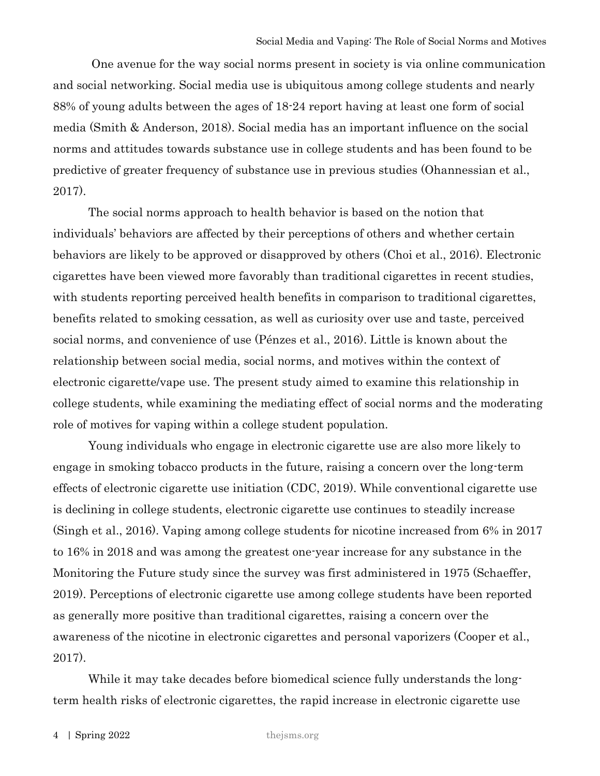One avenue for the way social norms present in society is via online communication and social networking. Social media use is ubiquitous among college students and nearly 88% of young adults between the ages of 18-24 report having at least one form of social media (Smith & Anderson, 2018). Social media has an important influence on the social norms and attitudes towards substance use in college students and has been found to be predictive of greater frequency of substance use in previous studies (Ohannessian et al., 2017).

The social norms approach to health behavior is based on the notion that individuals' behaviors are affected by their perceptions of others and whether certain behaviors are likely to be approved or disapproved by others (Choi et al., 2016). Electronic cigarettes have been viewed more favorably than traditional cigarettes in recent studies, with students reporting perceived health benefits in comparison to traditional cigarettes, benefits related to smoking cessation, as well as curiosity over use and taste, perceived social norms, and convenience of use (Pénzes et al., 2016). Little is known about the relationship between social media, social norms, and motives within the context of electronic cigarette/vape use. The present study aimed to examine this relationship in college students, while examining the mediating effect of social norms and the moderating role of motives for vaping within a college student population.

Young individuals who engage in electronic cigarette use are also more likely to engage in smoking tobacco products in the future, raising a concern over the long-term effects of electronic cigarette use initiation (CDC, 2019). While conventional cigarette use is declining in college students, electronic cigarette use continues to steadily increase (Singh et al., 2016). Vaping among college students for nicotine increased from 6% in 2017 to 16% in 2018 and was among the greatest one-year increase for any substance in the Monitoring the Future study since the survey was first administered in 1975 (Schaeffer, 2019). Perceptions of electronic cigarette use among college students have been reported as generally more positive than traditional cigarettes, raising a concern over the awareness of the nicotine in electronic cigarettes and personal vaporizers (Cooper et al., 2017).

While it may take decades before biomedical science fully understands the longterm health risks of electronic cigarettes, the rapid increase in electronic cigarette use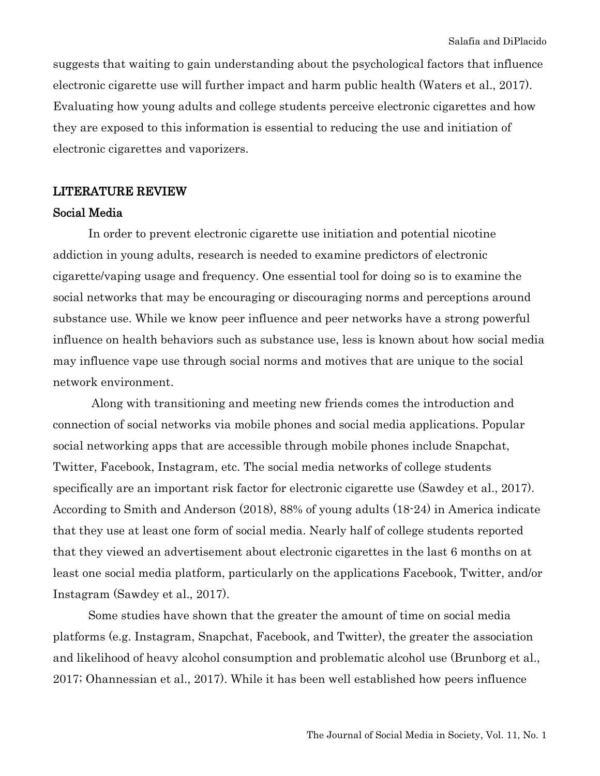suggests that waiting to gain understanding about the psychological factors that influence electronic cigarette use will further impact and harm public health (Waters et al., 2017). Evaluating how young adults and college students perceive electronic cigarettes and how they are exposed to this information is essential to reducing the use and initiation of electronic cigarettes and vaporizers.

### LITERATURE REVIEW

#### Social Media

In order to prevent electronic cigarette use initiation and potential nicotine addiction in young adults, research is needed to examine predictors of electronic cigarette/vaping usage and frequency. One essential tool for doing so is to examine the social networks that may be encouraging or discouraging norms and perceptions around substance use. While we know peer influence and peer networks have a strong powerful influence on health behaviors such as substance use, less is known about how social media may influence vape use through social norms and motives that are unique to the social network environment.

Along with transitioning and meeting new friends comes the introduction and connection of social networks via mobile phones and social media applications. Popular social networking apps that are accessible through mobile phones include Snapchat, Twitter, Facebook, Instagram, etc. The social media networks of college students specifically are an important risk factor for electronic cigarette use (Sawdey et al., 2017). According to Smith and Anderson (2018), 88% of young adults (18-24) in America indicate that they use at least one form of social media. Nearly half of college students reported that they viewed an advertisement about electronic cigarettes in the last 6 months on at least one social media platform, particularly on the applications Facebook, Twitter, and/or Instagram (Sawdey et al., 2017).

Some studies have shown that the greater the amount of time on social media platforms (e.g. Instagram, Snapchat, Facebook, and Twitter), the greater the association and likelihood of heavy alcohol consumption and problematic alcohol use (Brunborg et al., 2017; Ohannessian et al., 2017). While it has been well established how peers influence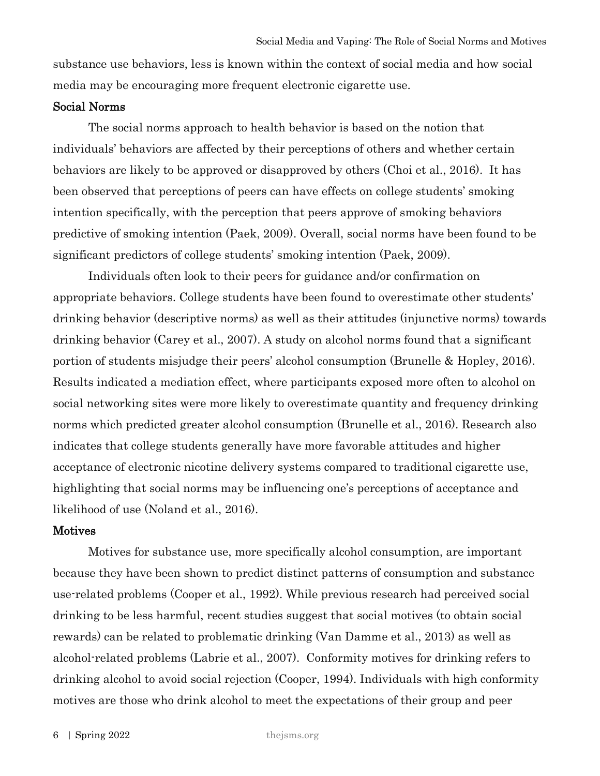substance use behaviors, less is known within the context of social media and how social media may be encouraging more frequent electronic cigarette use.

#### Social Norms

The social norms approach to health behavior is based on the notion that individuals' behaviors are affected by their perceptions of others and whether certain behaviors are likely to be approved or disapproved by others (Choi et al., 2016). It has been observed that perceptions of peers can have effects on college students' smoking intention specifically, with the perception that peers approve of smoking behaviors predictive of smoking intention (Paek, 2009). Overall, social norms have been found to be significant predictors of college students' smoking intention (Paek, 2009).

Individuals often look to their peers for guidance and/or confirmation on appropriate behaviors. College students have been found to overestimate other students' drinking behavior (descriptive norms) as well as their attitudes (injunctive norms) towards drinking behavior (Carey et al., 2007). A study on alcohol norms found that a significant portion of students misjudge their peers' alcohol consumption (Brunelle & Hopley, 2016). Results indicated a mediation effect, where participants exposed more often to alcohol on social networking sites were more likely to overestimate quantity and frequency drinking norms which predicted greater alcohol consumption (Brunelle et al., 2016). Research also indicates that college students generally have more favorable attitudes and higher acceptance of electronic nicotine delivery systems compared to traditional cigarette use, highlighting that social norms may be influencing one's perceptions of acceptance and likelihood of use (Noland et al., 2016).

### **Motives**

Motives for substance use, more specifically alcohol consumption, are important because they have been shown to predict distinct patterns of consumption and substance use-related problems (Cooper et al., 1992). While previous research had perceived social drinking to be less harmful, recent studies suggest that social motives (to obtain social rewards) can be related to problematic drinking (Van Damme et al., 2013) as well as alcohol-related problems (Labrie et al., 2007). Conformity motives for drinking refers to drinking alcohol to avoid social rejection (Cooper, 1994). Individuals with high conformity motives are those who drink alcohol to meet the expectations of their group and peer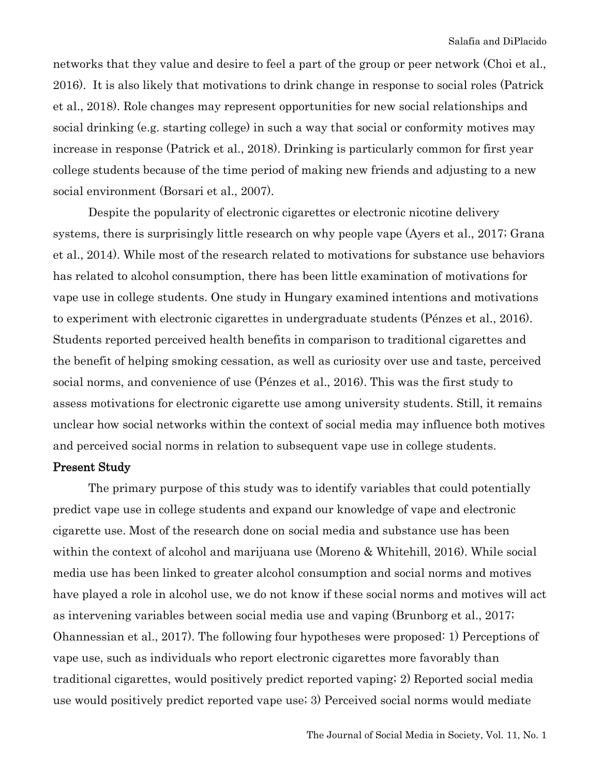networks that they value and desire to feel a part of the group or peer network (Choi et al., 2016). It is also likely that motivations to drink change in response to social roles (Patrick et al., 2018). Role changes may represent opportunities for new social relationships and social drinking (e.g. starting college) in such a way that social or conformity motives may increase in response (Patrick et al., 2018). Drinking is particularly common for first year college students because of the time period of making new friends and adjusting to a new social environment (Borsari et al., 2007).

Despite the popularity of electronic cigarettes or electronic nicotine delivery systems, there is surprisingly little research on why people vape (Ayers et al., 2017; Grana et al., 2014). While most of the research related to motivations for substance use behaviors has related to alcohol consumption, there has been little examination of motivations for vape use in college students. One study in Hungary examined intentions and motivations to experiment with electronic cigarettes in undergraduate students (Pénzes et al., 2016). Students reported perceived health benefits in comparison to traditional cigarettes and the benefit of helping smoking cessation, as well as curiosity over use and taste, perceived social norms, and convenience of use (Pénzes et al., 2016). This was the first study to assess motivations for electronic cigarette use among university students. Still, it remains unclear how social networks within the context of social media may influence both motives and perceived social norms in relation to subsequent vape use in college students.

#### Present Study

The primary purpose of this study was to identify variables that could potentially predict vape use in college students and expand our knowledge of vape and electronic cigarette use. Most of the research done on social media and substance use has been within the context of alcohol and marijuana use (Moreno & Whitehill, 2016). While social media use has been linked to greater alcohol consumption and social norms and motives have played a role in alcohol use, we do not know if these social norms and motives will act as intervening variables between social media use and vaping (Brunborg et al., 2017; Ohannessian et al., 2017). The following four hypotheses were proposed: 1) Perceptions of vape use, such as individuals who report electronic cigarettes more favorably than traditional cigarettes, would positively predict reported vaping; 2) Reported social media use would positively predict reported vape use; 3) Perceived social norms would mediate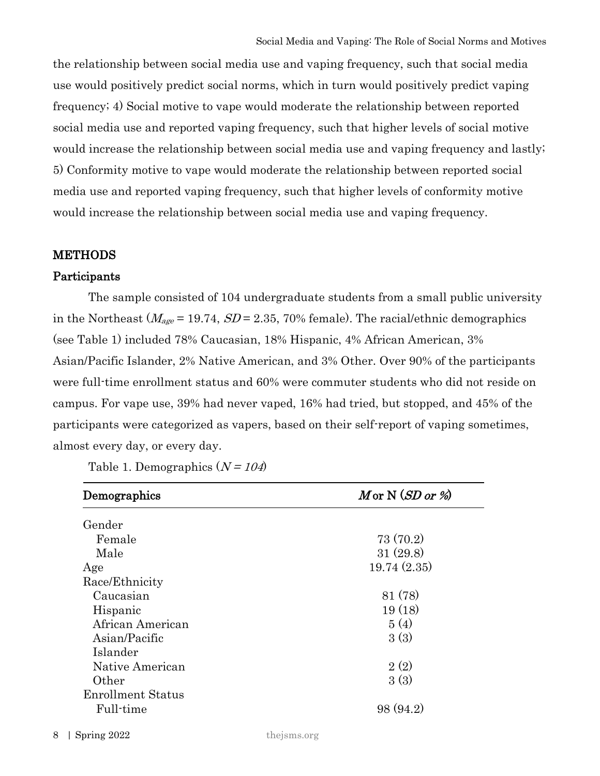the relationship between social media use and vaping frequency, such that social media use would positively predict social norms, which in turn would positively predict vaping frequency; 4) Social motive to vape would moderate the relationship between reported social media use and reported vaping frequency, such that higher levels of social motive would increase the relationship between social media use and vaping frequency and lastly; 5) Conformity motive to vape would moderate the relationship between reported social media use and reported vaping frequency, such that higher levels of conformity motive would increase the relationship between social media use and vaping frequency.

# **METHODS**

## Participants

The sample consisted of 104 undergraduate students from a small public university in the Northeast ( $M_{age}$  = 19.74,  $SD$  = 2.35, 70% female). The racial/ethnic demographics (see Table 1) included 78% Caucasian, 18% Hispanic, 4% African American, 3% Asian/Pacific Islander, 2% Native American, and 3% Other. Over 90% of the participants were full-time enrollment status and 60% were commuter students who did not reside on campus. For vape use, 39% had never vaped, 16% had tried, but stopped, and 45% of the participants were categorized as vapers, based on their self-report of vaping sometimes, almost every day, or every day.

| Table 1. Demographics $(N = 104)$ |  |
|-----------------------------------|--|
|-----------------------------------|--|

| Demographics             | $M$ or N $(SD$ or % |  |  |
|--------------------------|---------------------|--|--|
| Gender                   |                     |  |  |
| Female                   | 73(70.2)            |  |  |
| Male                     | 31(29.8)            |  |  |
| Age                      | 19.74(2.35)         |  |  |
| Race/Ethnicity           |                     |  |  |
| Caucasian                | 81 (78)             |  |  |
| Hispanic                 | 19(18)              |  |  |
| African American         | 5(4)                |  |  |
| Asian/Pacific            | 3(3)                |  |  |
| Islander                 |                     |  |  |
| Native American          | 2(2)                |  |  |
| Other                    | 3(3)                |  |  |
| <b>Enrollment Status</b> |                     |  |  |
| Full-time                | 98 (94.2)           |  |  |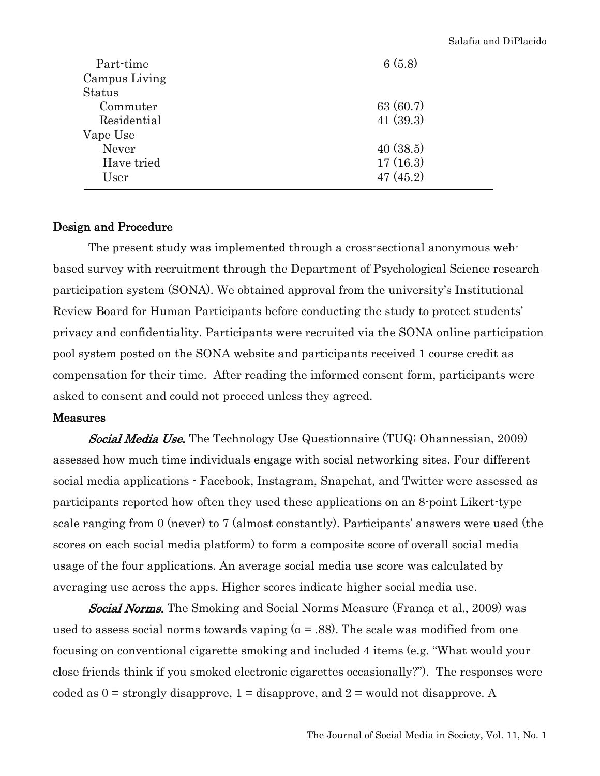| Part-time     | 6(5.8)   |
|---------------|----------|
| Campus Living |          |
| <b>Status</b> |          |
| Commuter      | 63(60.7) |
| Residential   | 41(39.3) |
| Vape Use      |          |
| Never         | 40(38.5) |
| Have tried    | 17(16.3) |
| User          | 47(45.2) |
|               |          |

## Design and Procedure

The present study was implemented through a cross-sectional anonymous webbased survey with recruitment through the Department of Psychological Science research participation system (SONA). We obtained approval from the university's Institutional Review Board for Human Participants before conducting the study to protect students' privacy and confidentiality. Participants were recruited via the SONA online participation pool system posted on the SONA website and participants received 1 course credit as compensation for their time. After reading the informed consent form, participants were asked to consent and could not proceed unless they agreed.

## Measures

Social Media Use. The Technology Use Questionnaire (TUQ; Ohannessian, 2009) assessed how much time individuals engage with social networking sites. Four different social media applications - Facebook, Instagram, Snapchat, and Twitter were assessed as participants reported how often they used these applications on an 8-point Likert-type scale ranging from 0 (never) to 7 (almost constantly). Participants' answers were used (the scores on each social media platform) to form a composite score of overall social media usage of the four applications. An average social media use score was calculated by averaging use across the apps. Higher scores indicate higher social media use.

**Social Norms.** The Smoking and Social Norms Measure (Franca et al., 2009) was used to assess social norms towards vaping  $(a = .88)$ . The scale was modified from one focusing on conventional cigarette smoking and included 4 items (e.g. "What would your close friends think if you smoked electronic cigarettes occasionally?"). The responses were coded as  $0 =$  strongly disapprove,  $1 =$  disapprove, and  $2 =$  would not disapprove. A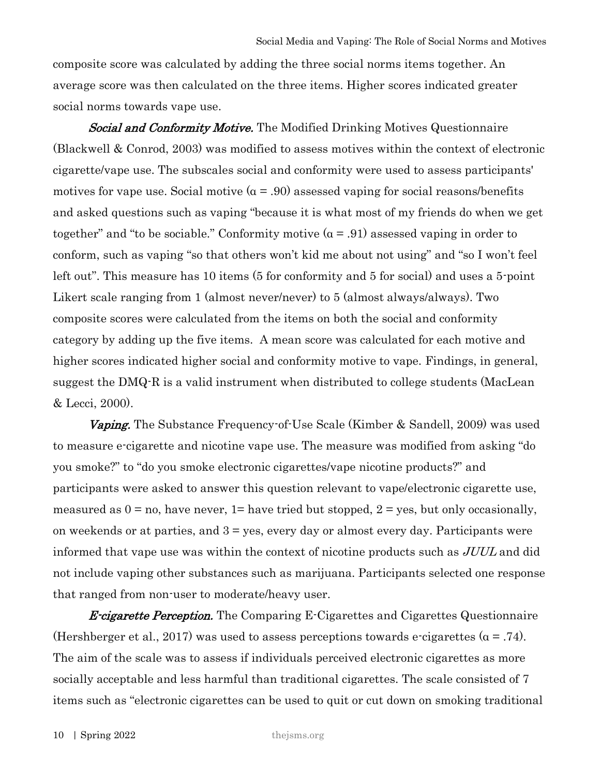composite score was calculated by adding the three social norms items together. An average score was then calculated on the three items. Higher scores indicated greater social norms towards vape use.

**Social and Conformity Motive.** The Modified Drinking Motives Questionnaire (Blackwell & Conrod, 2003) was modified to assess motives within the context of electronic cigarette/vape use. The subscales social and conformity were used to assess participants' motives for vape use. Social motive  $(a = .90)$  assessed vaping for social reasons/benefits and asked questions such as vaping "because it is what most of my friends do when we get together" and "to be sociable." Conformity motive  $(a = .91)$  assessed vaping in order to conform, such as vaping "so that others won't kid me about not using" and "so I won't feel left out". This measure has 10 items (5 for conformity and 5 for social) and uses a 5-point Likert scale ranging from 1 (almost never/never) to 5 (almost always/always). Two composite scores were calculated from the items on both the social and conformity category by adding up the five items. A mean score was calculated for each motive and higher scores indicated higher social and conformity motive to vape. Findings, in general, suggest the DMQ-R is a valid instrument when distributed to college students (MacLean & Lecci, 2000).

 Vaping. The Substance Frequency-of-Use Scale (Kimber & Sandell, 2009) was used to measure e-cigarette and nicotine vape use. The measure was modified from asking "do you smoke?" to "do you smoke electronic cigarettes/vape nicotine products?" and participants were asked to answer this question relevant to vape/electronic cigarette use, measured as  $0 = no$ , have never,  $1 = \text{have tried but stopped}, 2 = \text{yes, but only occasionally},$ on weekends or at parties, and  $3 = yes$ , every day or almost every day. Participants were informed that vape use was within the context of nicotine products such as JUUL and did not include vaping other substances such as marijuana. Participants selected one response that ranged from non-user to moderate/heavy user.

**E-cigarette Perception.** The Comparing E-Cigarettes and Cigarettes Questionnaire (Hershberger et al., 2017) was used to assess perceptions towards e-cigarettes ( $\alpha$  = .74). The aim of the scale was to assess if individuals perceived electronic cigarettes as more socially acceptable and less harmful than traditional cigarettes. The scale consisted of 7 items such as "electronic cigarettes can be used to quit or cut down on smoking traditional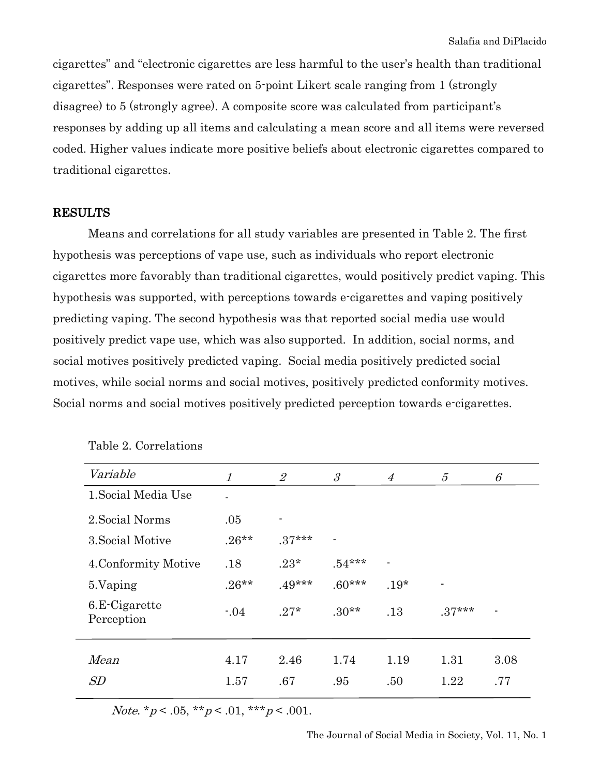cigarettes" and "electronic cigarettes are less harmful to the user's health than traditional cigarettes". Responses were rated on 5-point Likert scale ranging from 1 (strongly disagree) to 5 (strongly agree). A composite score was calculated from participant's responses by adding up all items and calculating a mean score and all items were reversed coded. Higher values indicate more positive beliefs about electronic cigarettes compared to traditional cigarettes.

#### RESULTS

Means and correlations for all study variables are presented in Table 2. The first hypothesis was perceptions of vape use, such as individuals who report electronic cigarettes more favorably than traditional cigarettes, would positively predict vaping. This hypothesis was supported, with perceptions towards e-cigarettes and vaping positively predicting vaping. The second hypothesis was that reported social media use would positively predict vape use, which was also supported. In addition, social norms, and social motives positively predicted vaping. Social media positively predicted social motives, while social norms and social motives, positively predicted conformity motives. Social norms and social motives positively predicted perception towards e-cigarettes.

| Variable                    | 1        | $\overline{2}$ | $\mathcal{S}_{\mathcal{S}}$ | $\overline{4}$           | $\mathcal{L}$  | $\mathcal{C}_{0}$ |
|-----------------------------|----------|----------------|-----------------------------|--------------------------|----------------|-------------------|
| 1. Social Media Use         |          |                |                             |                          |                |                   |
| 2. Social Norms             | .05      | -              |                             |                          |                |                   |
| 3. Social Motive            | $.26**$  | $.37***$       | $\blacksquare$              |                          |                |                   |
| 4. Conformity Motive        | .18      | $.23*$         | $.54***$                    | $\overline{\phantom{a}}$ |                |                   |
| 5. Vaping                   | $.26***$ | $.49***$       | $.60***$                    | $.19*$                   | $\blacksquare$ |                   |
| 6.E-Cigarette<br>Perception | $-0.04$  | $.27*$         | $.30**$                     | .13                      | $.37***$       |                   |
| Mean                        | 4.17     | 2.46           | 1.74                        | 1.19                     | 1.31           | 3.08              |
| SD                          | 1.57     | .67            | .95                         | .50                      | 1.22           | .77               |

Table 2. Correlations

Note. \*  $p < .05$ , \* \*  $p < .01$ , \* \* \*  $p < .001$ .

The Journal of Social Media in Society, Vol. 11, No. 1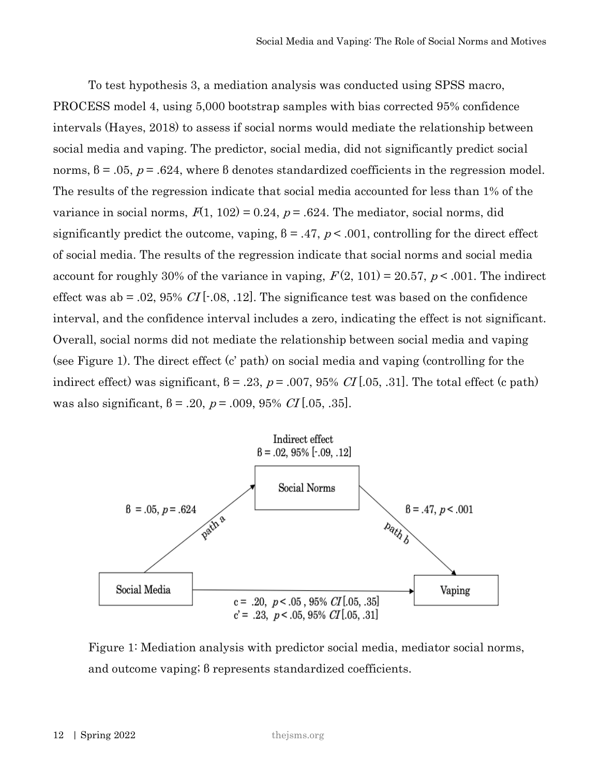To test hypothesis 3, a mediation analysis was conducted using SPSS macro, PROCESS model 4, using 5,000 bootstrap samples with bias corrected 95% confidence intervals (Hayes, 2018) to assess if social norms would mediate the relationship between social media and vaping. The predictor, social media, did not significantly predict social norms,  $\beta$  = .05,  $p$  = .624, where  $\beta$  denotes standardized coefficients in the regression model. The results of the regression indicate that social media accounted for less than 1% of the variance in social norms,  $F(1, 102) = 0.24$ ,  $p = .624$ . The mediator, social norms, did significantly predict the outcome, vaping,  $\beta = .47$ ,  $p < .001$ , controlling for the direct effect of social media. The results of the regression indicate that social norms and social media account for roughly 30% of the variance in vaping,  $F(2, 101) = 20.57$ ,  $p < .001$ . The indirect effect was ab = .02, 95% CI [ $\cdot$ .08, .12]. The significance test was based on the confidence interval, and the confidence interval includes a zero, indicating the effect is not significant. Overall, social norms did not mediate the relationship between social media and vaping (see Figure 1). The direct effect (c' path) on social media and vaping (controlling for the indirect effect) was significant,  $\beta = .23$ ,  $p = .007$ ,  $95\%$  CI [.05, .31]. The total effect (c path) was also significant,  $\beta = .20$ ,  $p = .009$ ,  $95\%$  CI [.05, .35].



Figure 1: Mediation analysis with predictor social media, mediator social norms, and outcome vaping; β represents standardized coefficients.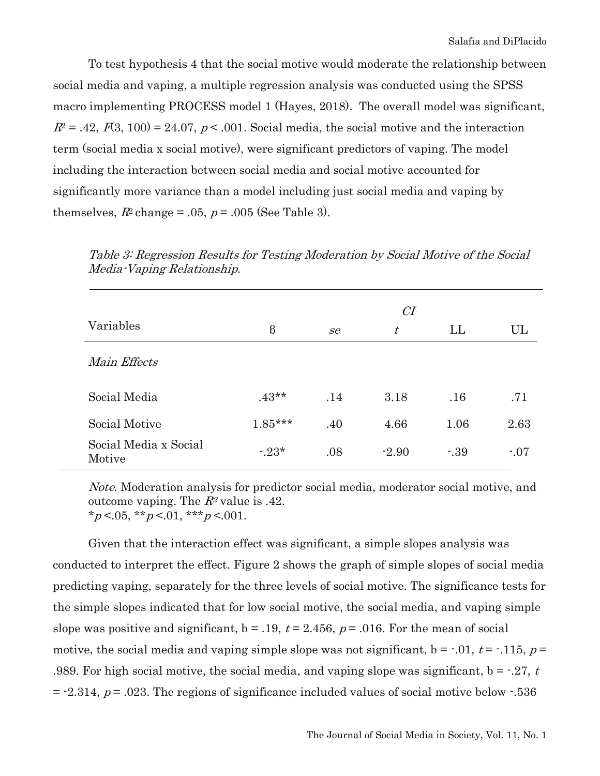To test hypothesis 4 that the social motive would moderate the relationship between social media and vaping, a multiple regression analysis was conducted using the SPSS macro implementing PROCESS model 1 (Hayes, 2018). The overall model was significant,  $R^2 = .42, F(3, 100) = 24.07, p < .001$ . Social media, the social motive and the interaction term (social media x social motive), were significant predictors of vaping. The model including the interaction between social media and social motive accounted for significantly more variance than a model including just social media and vaping by themselves,  $R^2$  change = .05,  $p = .005$  (See Table 3).

|                                 | CI        |     |         |         |         |  |
|---------------------------------|-----------|-----|---------|---------|---------|--|
| Variables                       | $\beta$   | se  | $t\,$   | LL      | UL      |  |
| Main Effects                    |           |     |         |         |         |  |
| Social Media                    | $.43**$   | .14 | 3.18    | .16     | .71     |  |
| Social Motive                   | $1.85***$ | .40 | 4.66    | 1.06    | 2.63    |  |
| Social Media x Social<br>Motive | $-23*$    | .08 | $-2.90$ | $-0.39$ | $-0.07$ |  |

Table 3: Regression Results for Testing Moderation by Social Motive of the Social Media-Vaping Relationship.

Note. Moderation analysis for predictor social media, moderator social motive, and outcome vaping. The  $R^2$  value is .42.  $*_{p}$  <.05,  $*_{p}$  <.01,  $*_{p}$  <.001.

Given that the interaction effect was significant, a simple slopes analysis was conducted to interpret the effect. Figure 2 shows the graph of simple slopes of social media predicting vaping, separately for the three levels of social motive. The significance tests for the simple slopes indicated that for low social motive, the social media, and vaping simple slope was positive and significant,  $b = .19$ ,  $t = 2.456$ ,  $p = .016$ . For the mean of social motive, the social media and vaping simple slope was not significant,  $b = -0.01$ ,  $t = -0.115$ ,  $p =$ .989. For high social motive, the social media, and vaping slope was significant,  $b = -0.27$ , t.  $=$  -2.314,  $p = .023$ . The regions of significance included values of social motive below  $-.536$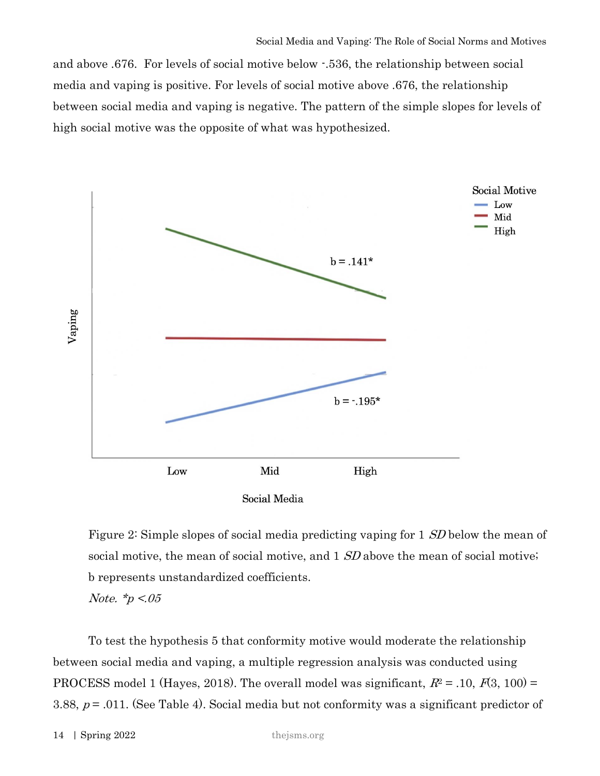and above .676. For levels of social motive below -.536, the relationship between social media and vaping is positive. For levels of social motive above .676, the relationship between social media and vaping is negative. The pattern of the simple slopes for levels of high social motive was the opposite of what was hypothesized.



Figure 2: Simple slopes of social media predicting vaping for 1 SD below the mean of social motive, the mean of social motive, and 1 SD above the mean of social motive; b represents unstandardized coefficients.

Note.  $*_p < 0.05$ 

To test the hypothesis 5 that conformity motive would moderate the relationship between social media and vaping, a multiple regression analysis was conducted using PROCESS model 1 (Hayes, 2018). The overall model was significant,  $R^2 = .10$ ,  $F(3, 100) =$ 3.88,  $p = .011$ . (See Table 4). Social media but not conformity was a significant predictor of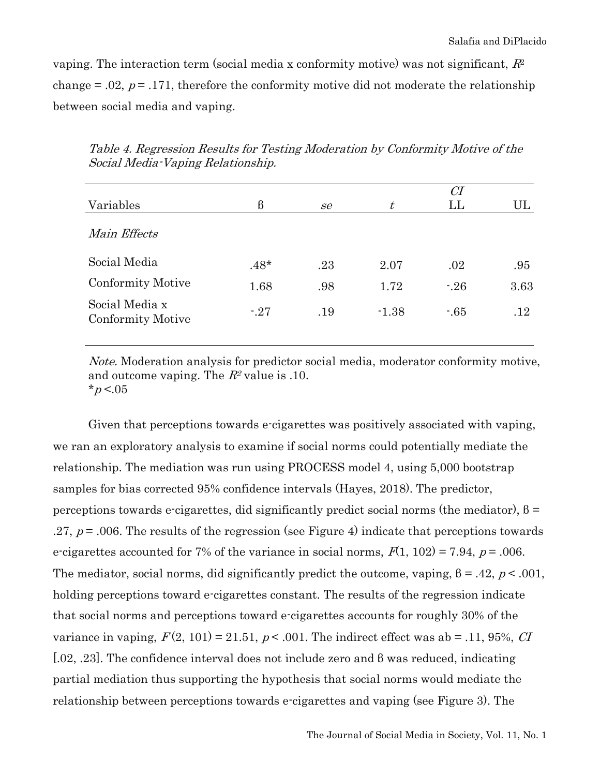vaping. The interaction term (social media x conformity motive) was not significant,  $R^2$ change  $= .02$ ,  $p = .171$ , therefore the conformity motive did not moderate the relationship between social media and vaping.

| Variables                                  | $\beta$ | se  | t       | CI<br>$\mathop{\rm LL}\nolimits$ | UL   |
|--------------------------------------------|---------|-----|---------|----------------------------------|------|
| Main Effects                               |         |     |         |                                  |      |
| Social Media                               | $.48*$  | .23 | 2.07    | .02                              | .95  |
| Conformity Motive                          | 1.68    | .98 | 1.72    | $-26$                            | 3.63 |
| Social Media x<br><b>Conformity Motive</b> | $-27$   | .19 | $-1.38$ | $-65$                            | .12  |

Table 4. Regression Results for Testing Moderation by Conformity Motive of the Social Media-Vaping Relationship.

Note. Moderation analysis for predictor social media, moderator conformity motive, and outcome vaping. The  $R^2$  value is .10. \* $p < 0.05$ 

Given that perceptions towards e-cigarettes was positively associated with vaping, we ran an exploratory analysis to examine if social norms could potentially mediate the relationship. The mediation was run using PROCESS model 4, using 5,000 bootstrap samples for bias corrected 95% confidence intervals (Hayes, 2018). The predictor, perceptions towards e-cigarettes, did significantly predict social norms (the mediator),  $\beta$  = .27,  $p = 0.006$ . The results of the regression (see Figure 4) indicate that perceptions towards e-cigarettes accounted for 7% of the variance in social norms,  $F(1, 102) = 7.94$ ,  $p = .006$ . The mediator, social norms, did significantly predict the outcome, vaping,  $\beta = .42$ ,  $p < .001$ , holding perceptions toward e-cigarettes constant. The results of the regression indicate that social norms and perceptions toward e-cigarettes accounts for roughly 30% of the variance in vaping,  $F(2, 101) = 21.51$ ,  $p < .001$ . The indirect effect was ab = .11, 95%, CI [.02, .23]. The confidence interval does not include zero and β was reduced, indicating partial mediation thus supporting the hypothesis that social norms would mediate the relationship between perceptions towards e-cigarettes and vaping (see Figure 3). The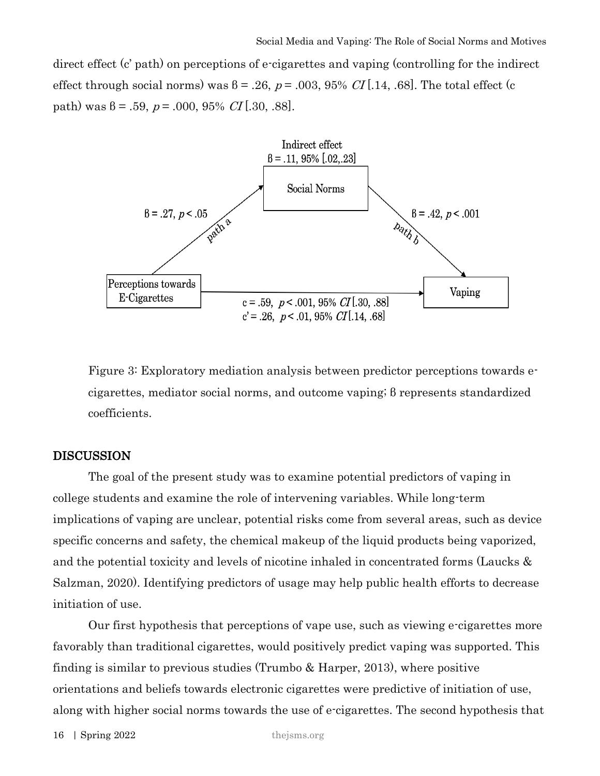direct effect (c' path) on perceptions of e-cigarettes and vaping (controlling for the indirect effect through social norms) was  $\beta = .26$ ,  $p = .003$ ,  $95\%$  CI [.14, .68]. The total effect (c path) was  $\beta = .59$ ,  $p = .000$ ,  $95\%$  CI [.30, .88].



Figure 3: Exploratory mediation analysis between predictor perceptions towards ecigarettes, mediator social norms, and outcome vaping; β represents standardized coefficients.

#### DISCUSSION

The goal of the present study was to examine potential predictors of vaping in college students and examine the role of intervening variables. While long-term implications of vaping are unclear, potential risks come from several areas, such as device specific concerns and safety, the chemical makeup of the liquid products being vaporized, and the potential toxicity and levels of nicotine inhaled in concentrated forms (Laucks & Salzman, 2020). Identifying predictors of usage may help public health efforts to decrease initiation of use.

Our first hypothesis that perceptions of vape use, such as viewing e-cigarettes more favorably than traditional cigarettes, would positively predict vaping was supported. This finding is similar to previous studies (Trumbo & Harper, 2013), where positive orientations and beliefs towards electronic cigarettes were predictive of initiation of use, along with higher social norms towards the use of e-cigarettes. The second hypothesis that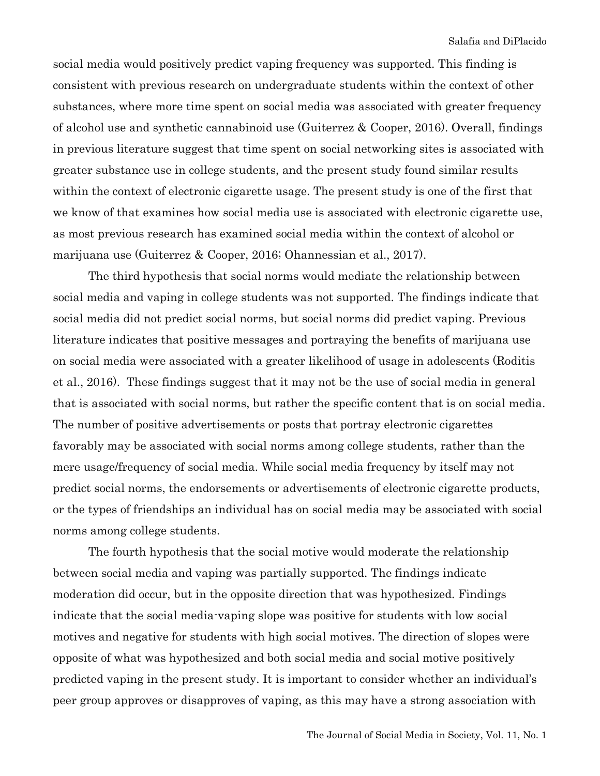social media would positively predict vaping frequency was supported. This finding is consistent with previous research on undergraduate students within the context of other substances, where more time spent on social media was associated with greater frequency of alcohol use and synthetic cannabinoid use (Guiterrez & Cooper, 2016). Overall, findings in previous literature suggest that time spent on social networking sites is associated with greater substance use in college students, and the present study found similar results within the context of electronic cigarette usage. The present study is one of the first that we know of that examines how social media use is associated with electronic cigarette use, as most previous research has examined social media within the context of alcohol or marijuana use (Guiterrez & Cooper, 2016; Ohannessian et al., 2017).

The third hypothesis that social norms would mediate the relationship between social media and vaping in college students was not supported. The findings indicate that social media did not predict social norms, but social norms did predict vaping. Previous literature indicates that positive messages and portraying the benefits of marijuana use on social media were associated with a greater likelihood of usage in adolescents (Roditis et al., 2016). These findings suggest that it may not be the use of social media in general that is associated with social norms, but rather the specific content that is on social media. The number of positive advertisements or posts that portray electronic cigarettes favorably may be associated with social norms among college students, rather than the mere usage/frequency of social media. While social media frequency by itself may not predict social norms, the endorsements or advertisements of electronic cigarette products, or the types of friendships an individual has on social media may be associated with social norms among college students.

The fourth hypothesis that the social motive would moderate the relationship between social media and vaping was partially supported. The findings indicate moderation did occur, but in the opposite direction that was hypothesized. Findings indicate that the social media-vaping slope was positive for students with low social motives and negative for students with high social motives. The direction of slopes were opposite of what was hypothesized and both social media and social motive positively predicted vaping in the present study. It is important to consider whether an individual's peer group approves or disapproves of vaping, as this may have a strong association with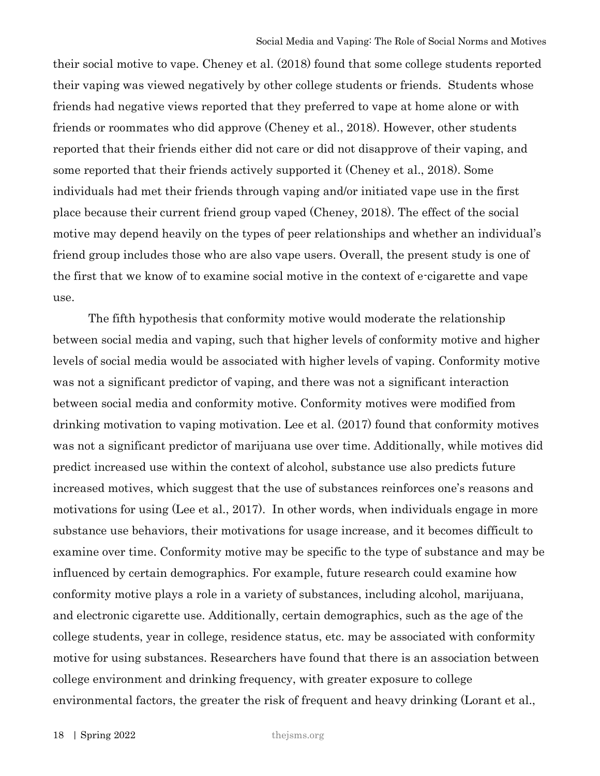their social motive to vape. Cheney et al. (2018) found that some college students reported their vaping was viewed negatively by other college students or friends. Students whose friends had negative views reported that they preferred to vape at home alone or with friends or roommates who did approve (Cheney et al., 2018). However, other students reported that their friends either did not care or did not disapprove of their vaping, and some reported that their friends actively supported it (Cheney et al., 2018). Some individuals had met their friends through vaping and/or initiated vape use in the first place because their current friend group vaped (Cheney, 2018). The effect of the social motive may depend heavily on the types of peer relationships and whether an individual's friend group includes those who are also vape users. Overall, the present study is one of the first that we know of to examine social motive in the context of e-cigarette and vape use.

The fifth hypothesis that conformity motive would moderate the relationship between social media and vaping, such that higher levels of conformity motive and higher levels of social media would be associated with higher levels of vaping. Conformity motive was not a significant predictor of vaping, and there was not a significant interaction between social media and conformity motive. Conformity motives were modified from drinking motivation to vaping motivation. Lee et al. (2017) found that conformity motives was not a significant predictor of marijuana use over time. Additionally, while motives did predict increased use within the context of alcohol, substance use also predicts future increased motives, which suggest that the use of substances reinforces one's reasons and motivations for using (Lee et al., 2017). In other words, when individuals engage in more substance use behaviors, their motivations for usage increase, and it becomes difficult to examine over time. Conformity motive may be specific to the type of substance and may be influenced by certain demographics. For example, future research could examine how conformity motive plays a role in a variety of substances, including alcohol, marijuana, and electronic cigarette use. Additionally, certain demographics, such as the age of the college students, year in college, residence status, etc. may be associated with conformity motive for using substances. Researchers have found that there is an association between college environment and drinking frequency, with greater exposure to college environmental factors, the greater the risk of frequent and heavy drinking (Lorant et al.,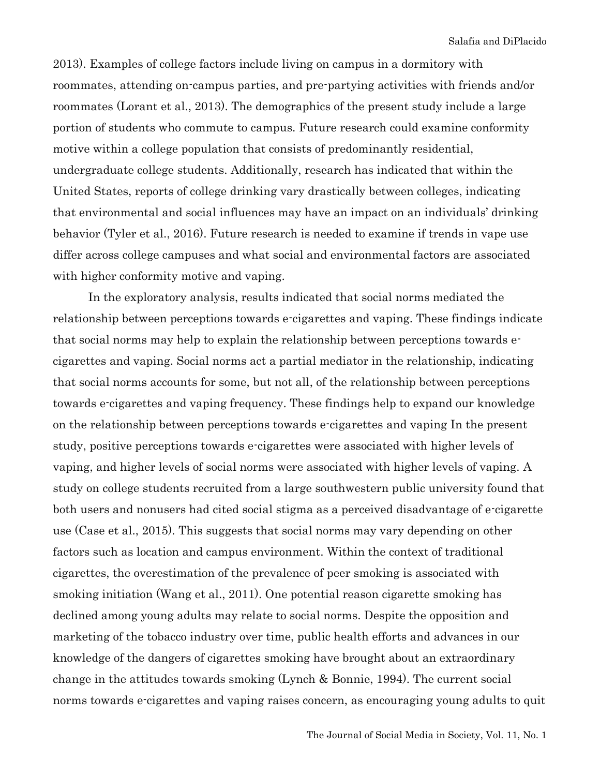2013). Examples of college factors include living on campus in a dormitory with roommates, attending on-campus parties, and pre-partying activities with friends and/or roommates (Lorant et al., 2013). The demographics of the present study include a large portion of students who commute to campus. Future research could examine conformity motive within a college population that consists of predominantly residential, undergraduate college students. Additionally, research has indicated that within the United States, reports of college drinking vary drastically between colleges, indicating that environmental and social influences may have an impact on an individuals' drinking behavior (Tyler et al., 2016). Future research is needed to examine if trends in vape use differ across college campuses and what social and environmental factors are associated with higher conformity motive and vaping.

In the exploratory analysis, results indicated that social norms mediated the relationship between perceptions towards e-cigarettes and vaping. These findings indicate that social norms may help to explain the relationship between perceptions towards ecigarettes and vaping. Social norms act a partial mediator in the relationship, indicating that social norms accounts for some, but not all, of the relationship between perceptions towards e-cigarettes and vaping frequency. These findings help to expand our knowledge on the relationship between perceptions towards e-cigarettes and vaping In the present study, positive perceptions towards e-cigarettes were associated with higher levels of vaping, and higher levels of social norms were associated with higher levels of vaping. A study on college students recruited from a large southwestern public university found that both users and nonusers had cited social stigma as a perceived disadvantage of e-cigarette use (Case et al., 2015). This suggests that social norms may vary depending on other factors such as location and campus environment. Within the context of traditional cigarettes, the overestimation of the prevalence of peer smoking is associated with smoking initiation (Wang et al., 2011). One potential reason cigarette smoking has declined among young adults may relate to social norms. Despite the opposition and marketing of the tobacco industry over time, public health efforts and advances in our knowledge of the dangers of cigarettes smoking have brought about an extraordinary change in the attitudes towards smoking (Lynch & Bonnie, 1994). The current social norms towards e-cigarettes and vaping raises concern, as encouraging young adults to quit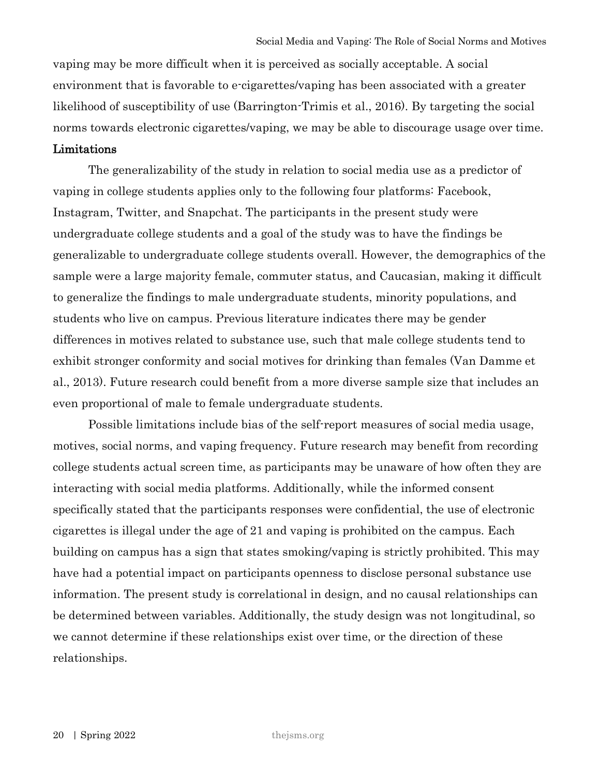vaping may be more difficult when it is perceived as socially acceptable. A social environment that is favorable to e-cigarettes/vaping has been associated with a greater likelihood of susceptibility of use (Barrington-Trimis et al., 2016). By targeting the social norms towards electronic cigarettes/vaping, we may be able to discourage usage over time.

# Limitations

The generalizability of the study in relation to social media use as a predictor of vaping in college students applies only to the following four platforms: Facebook, Instagram, Twitter, and Snapchat. The participants in the present study were undergraduate college students and a goal of the study was to have the findings be generalizable to undergraduate college students overall. However, the demographics of the sample were a large majority female, commuter status, and Caucasian, making it difficult to generalize the findings to male undergraduate students, minority populations, and students who live on campus. Previous literature indicates there may be gender differences in motives related to substance use, such that male college students tend to exhibit stronger conformity and social motives for drinking than females (Van Damme et al., 2013). Future research could benefit from a more diverse sample size that includes an even proportional of male to female undergraduate students.

Possible limitations include bias of the self-report measures of social media usage, motives, social norms, and vaping frequency. Future research may benefit from recording college students actual screen time, as participants may be unaware of how often they are interacting with social media platforms. Additionally, while the informed consent specifically stated that the participants responses were confidential, the use of electronic cigarettes is illegal under the age of 21 and vaping is prohibited on the campus. Each building on campus has a sign that states smoking/vaping is strictly prohibited. This may have had a potential impact on participants openness to disclose personal substance use information. The present study is correlational in design, and no causal relationships can be determined between variables. Additionally, the study design was not longitudinal, so we cannot determine if these relationships exist over time, or the direction of these relationships.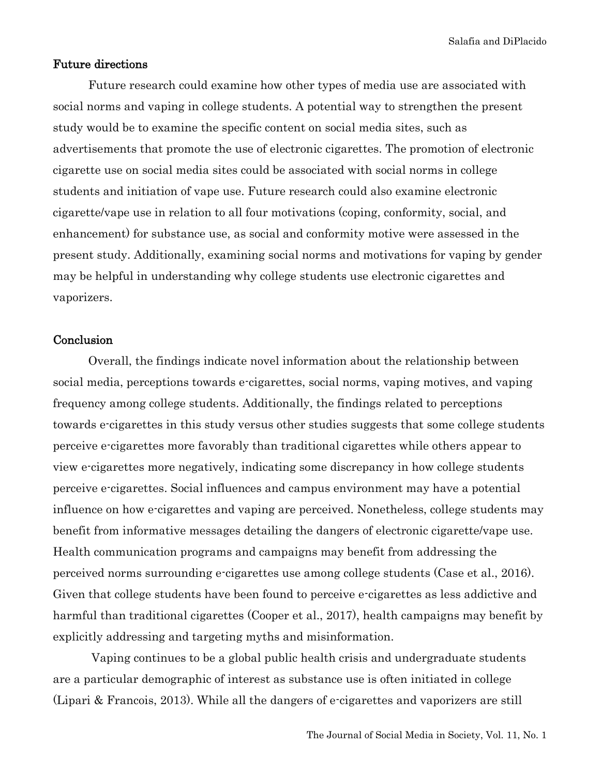Salafia and DiPlacido

#### Future directions

Future research could examine how other types of media use are associated with social norms and vaping in college students. A potential way to strengthen the present study would be to examine the specific content on social media sites, such as advertisements that promote the use of electronic cigarettes. The promotion of electronic cigarette use on social media sites could be associated with social norms in college students and initiation of vape use. Future research could also examine electronic cigarette/vape use in relation to all four motivations (coping, conformity, social, and enhancement) for substance use, as social and conformity motive were assessed in the present study. Additionally, examining social norms and motivations for vaping by gender may be helpful in understanding why college students use electronic cigarettes and vaporizers.

#### **Conclusion**

Overall, the findings indicate novel information about the relationship between social media, perceptions towards e-cigarettes, social norms, vaping motives, and vaping frequency among college students. Additionally, the findings related to perceptions towards e-cigarettes in this study versus other studies suggests that some college students perceive e-cigarettes more favorably than traditional cigarettes while others appear to view e-cigarettes more negatively, indicating some discrepancy in how college students perceive e-cigarettes. Social influences and campus environment may have a potential influence on how e-cigarettes and vaping are perceived. Nonetheless, college students may benefit from informative messages detailing the dangers of electronic cigarette/vape use. Health communication programs and campaigns may benefit from addressing the perceived norms surrounding e-cigarettes use among college students (Case et al., 2016). Given that college students have been found to perceive e-cigarettes as less addictive and harmful than traditional cigarettes (Cooper et al., 2017), health campaigns may benefit by explicitly addressing and targeting myths and misinformation.

Vaping continues to be a global public health crisis and undergraduate students are a particular demographic of interest as substance use is often initiated in college (Lipari & Francois, 2013). While all the dangers of e-cigarettes and vaporizers are still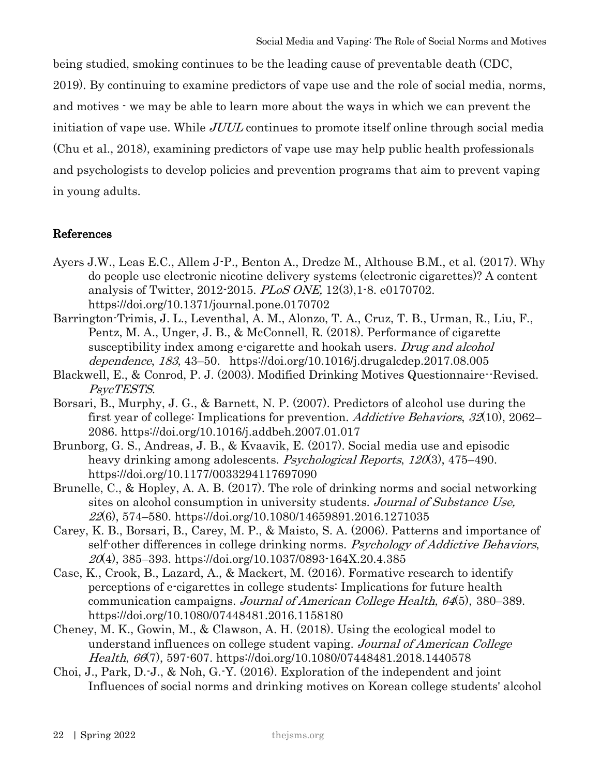being studied, smoking continues to be the leading cause of preventable death (CDC, 2019). By continuing to examine predictors of vape use and the role of social media, norms,

and motives - we may be able to learn more about the ways in which we can prevent the

initiation of vape use. While JUUL continues to promote itself online through social media

(Chu et al., 2018), examining predictors of vape use may help public health professionals

and psychologists to develop policies and prevention programs that aim to prevent vaping in young adults.

# References

- Ayers J.W., Leas E.C., Allem J-P., Benton A., Dredze M., Althouse B.M., et al. (2017). Why do people use electronic nicotine delivery systems (electronic cigarettes)? A content analysis of Twitter, 2012-2015. PLoS ONE, 12(3),1-8. e0170702. https://doi.org/10.1371/journal.pone.0170702
- Barrington-Trimis, J. L., Leventhal, A. M., Alonzo, T. A., Cruz, T. B., Urman, R., Liu, F., Pentz, M. A., Unger, J. B., & McConnell, R. (2018). Performance of cigarette susceptibility index among e-cigarette and hookah users. Drug and alcohol dependence, <sup>183</sup>, 43–50. https://doi.org/10.1016/j.drugalcdep.2017.08.005
- Blackwell, E., & Conrod, P. J. (2003). Modified Drinking Motives Questionnaire--Revised. PsycTESTS.
- Borsari, B., Murphy, J. G., & Barnett, N. P. (2007). Predictors of alcohol use during the first year of college: Implications for prevention. Addictive Behaviors, 32(10), 2062– 2086. https://doi.org/10.1016/j.addbeh.2007.01.017
- Brunborg, G. S., Andreas, J. B., & Kvaavik, E. (2017). Social media use and episodic heavy drinking among adolescents. *Psychological Reports*, 120(3), 475–490. https://doi.org/10.1177/0033294117697090
- Brunelle, C., & Hopley, A. A. B. (2017). The role of drinking norms and social networking sites on alcohol consumption in university students. Journal of Substance Use, <sup>22</sup>(6), 574–580. https://doi.org/10.1080/14659891.2016.1271035
- Carey, K. B., Borsari, B., Carey, M. P., & Maisto, S. A. (2006). Patterns and importance of self-other differences in college drinking norms. Psychology of Addictive Behaviors,  $20(4)$ , 385–393. https://doi.org/10.1037/0893-164X.20.4.385
- Case, K., Crook, B., Lazard, A., & Mackert, M. (2016). Formative research to identify perceptions of e-cigarettes in college students: Implications for future health communication campaigns. *Journal of American College Health, 64*(5), 380–389. https://doi.org/10.1080/07448481.2016.1158180
- Cheney, M. K., Gowin, M., & Clawson, A. H. (2018). Using the ecological model to understand influences on college student vaping. Journal of American College Health, 66(7), 597-607. https://doi.org/10.1080/07448481.2018.1440578
- Choi, J., Park, D.-J., & Noh, G.-Y. (2016). Exploration of the independent and joint Influences of social norms and drinking motives on Korean college students' alcohol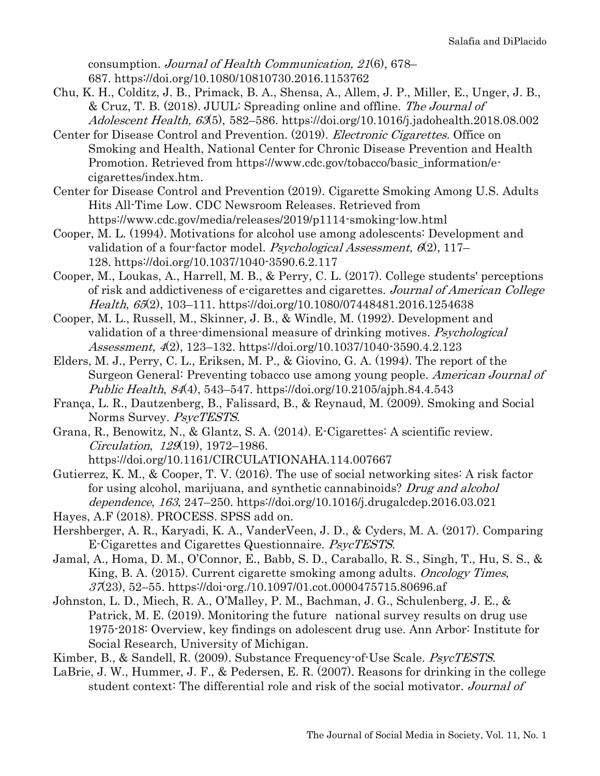consumption. Journal of Health Communication, 21(6), 678– 687. https://doi.org/10.1080/10810730.2016.1153762

- Chu, K. H., Colditz, J. B., Primack, B. A., Shensa, A., Allem, J. P., Miller, E., Unger, J. B., & Cruz, T. B. (2018). JUUL: Spreading online and offline. The Journal of Adolescent Health, 63(5), 582–586. https://doi.org/10.1016/j.jadohealth.2018.08.002
- Center for Disease Control and Prevention. (2019). *Electronic Cigarettes*. Office on Smoking and Health, National Center for Chronic Disease Prevention and Health Promotion. Retrieved from https://www.cdc.gov/tobacco/basic\_information/ecigarettes/index.htm.
- Center for Disease Control and Prevention (2019). Cigarette Smoking Among U.S. Adults Hits All-Time Low. CDC Newsroom Releases. Retrieved from https://www.cdc.gov/media/releases/2019/p1114-smoking-low.html
- Cooper, M. L. (1994). Motivations for alcohol use among adolescents: Development and validation of a four-factor model. Psychological Assessment,  $6(2)$ , 117– 128. https://doi.org/10.1037/1040-3590.6.2.117
- Cooper, M., Loukas, A., Harrell, M. B., & Perry, C. L. (2017). College students' perceptions of risk and addictiveness of e-cigarettes and cigarettes. Journal of American College Health, 65(2), 103–111. https://doi.org/10.1080/07448481.2016.1254638
- Cooper, M. L., Russell, M., Skinner, J. B., & Windle, M. (1992). Development and validation of a three-dimensional measure of drinking motives. *Psychological* Assessment, 4(2), 123–132. https://doi.org/10.1037/1040-3590.4.2.123
- Elders, M. J., Perry, C. L., Eriksen, M. P., & Giovino, G. A. (1994). The report of the Surgeon General: Preventing tobacco use among young people. American Journal of Public Health, 84(4), 543–547. https://doi.org/10.2105/ajph.84.4.543
- França, L. R., Dautzenberg, B., Falissard, B., & Reynaud, M. (2009). Smoking and Social Norms Survey. PsycTESTS.
- Grana, R., Benowitz, N., & Glantz, S. A. (2014). E-Cigarettes: A scientific review. Circulation, 129(19), 1972–1986. https://doi.org/10.1161/CIRCULATIONAHA.114.007667
- Gutierrez, K. M., & Cooper, T. V. (2016). The use of social networking sites: A risk factor for using alcohol, marijuana, and synthetic cannabinoids? Drug and alcohol dependence, <sup>163</sup>, 247–250. https://doi.org/10.1016/j.drugalcdep.2016.03.021
- Hayes, A.F (2018). PROCESS. SPSS add on.
- Hershberger, A. R., Karyadi, K. A., VanderVeen, J. D., & Cyders, M. A. (2017). Comparing E-Cigarettes and Cigarettes Questionnaire. PsycTESTS.
- Jamal, A., Homa, D. M., O'Connor, E., Babb, S. D., Caraballo, R. S., Singh, T., Hu, S. S., & King, B. A. (2015). Current cigarette smoking among adults. *Oncology Times*,  $37(23)$ , 52–55. https://doi-org./10.1097/01.cot.0000475715.80696.af
- Johnston, L. D., Miech, R. A., O'Malley, P. M., Bachman, J. G., Schulenberg, J. E., & Patrick, M. E. (2019). Monitoring the future national survey results on drug use 1975-2018: Overview, key findings on adolescent drug use. Ann Arbor: Institute for Social Research, University of Michigan.
- Kimber, B., & Sandell, R. (2009). Substance Frequency-of-Use Scale. PsycTESTS.
- LaBrie, J. W., Hummer, J. F., & Pedersen, E. R. (2007). Reasons for drinking in the college student context: The differential role and risk of the social motivator. Journal of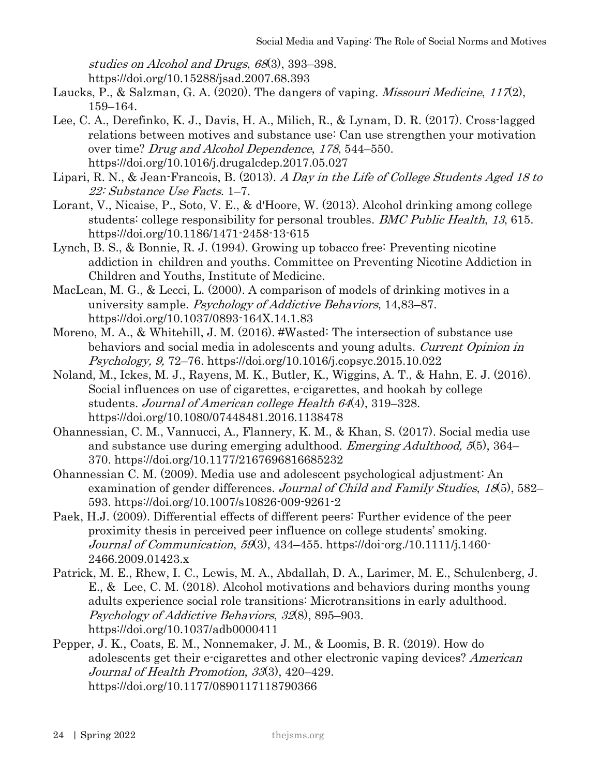studies on Alcohol and Drugs, <sup>68</sup>(3), 393–398.

https://doi.org/10.15288/jsad.2007.68.393

- Laucks, P., & Salzman, G. A. (2020). The dangers of vaping. *Missouri Medicine*,  $117(2)$ , 159–164.
- Lee, C. A., Derefinko, K. J., Davis, H. A., Milich, R., & Lynam, D. R. (2017). Cross-lagged relations between motives and substance use: Can use strengthen your motivation over time? Drug and Alcohol Dependence, 178, 544–550. https://doi.org/10.1016/j.drugalcdep.2017.05.027
- Lipari, R. N., & Jean-Francois, B. (2013). A Day in the Life of College Students Aged 18 to 22: Substance Use Facts. 1–7.
- Lorant, V., Nicaise, P., Soto, V. E., & d'Hoore, W. (2013). Alcohol drinking among college students: college responsibility for personal troubles. *BMC Public Health*, 13, 615. https://doi.org/10.1186/1471-2458-13-615
- Lynch, B. S., & Bonnie, R. J. (1994). Growing up tobacco free: Preventing nicotine addiction in children and youths. Committee on Preventing Nicotine Addiction in Children and Youths, Institute of Medicine.
- MacLean, M. G., & Lecci, L. (2000). A comparison of models of drinking motives in a university sample. Psychology of Addictive Behaviors, 14,83–87. https://doi.org/10.1037/0893-164X.14.1.83
- Moreno, M. A., & Whitehill, J. M. (2016). #Wasted: The intersection of substance use behaviors and social media in adolescents and young adults. Current Opinion in Psychology, 9, 72–76. https://doi.org/10.1016/j.copsyc.2015.10.022
- Noland, M., Ickes, M. J., Rayens, M. K., Butler, K., Wiggins, A. T., & Hahn, E. J. (2016). Social influences on use of cigarettes, e-cigarettes, and hookah by college students. Journal of American college Health 64(4), 319–328. https://doi.org/10.1080/07448481.2016.1138478
- Ohannessian, C. M., Vannucci, A., Flannery, K. M., & Khan, S. (2017). Social media use and substance use during emerging adulthood. *Emerging Adulthood*, 5(5), 364– 370. https://doi.org/10.1177/2167696816685232
- Ohannessian C. M. (2009). Media use and adolescent psychological adjustment: An examination of gender differences. Journal of Child and Family Studies, <sup>18</sup>(5), 582– 593. https://doi.org/10.1007/s10826-009-9261-2
- Paek, H.J. (2009). Differential effects of different peers: Further evidence of the peer proximity thesis in perceived peer influence on college students' smoking. Journal of Communication,  $59(3)$ ,  $434-455$ . https://doi-org./10.1111/j.1460-2466.2009.01423.x
- Patrick, M. E., Rhew, I. C., Lewis, M. A., Abdallah, D. A., Larimer, M. E., Schulenberg, J. E., & Lee, C. M. (2018). Alcohol motivations and behaviors during months young adults experience social role transitions: Microtransitions in early adulthood. Psychology of Addictive Behaviors, 32(8), 895–903. https://doi.org/10.1037/adb0000411
- Pepper, J. K., Coats, E. M., Nonnemaker, J. M., & Loomis, B. R. (2019). How do adolescents get their e-cigarettes and other electronic vaping devices? American Journal of Health Promotion, 33(3), 420–429. https://doi.org/10.1177/0890117118790366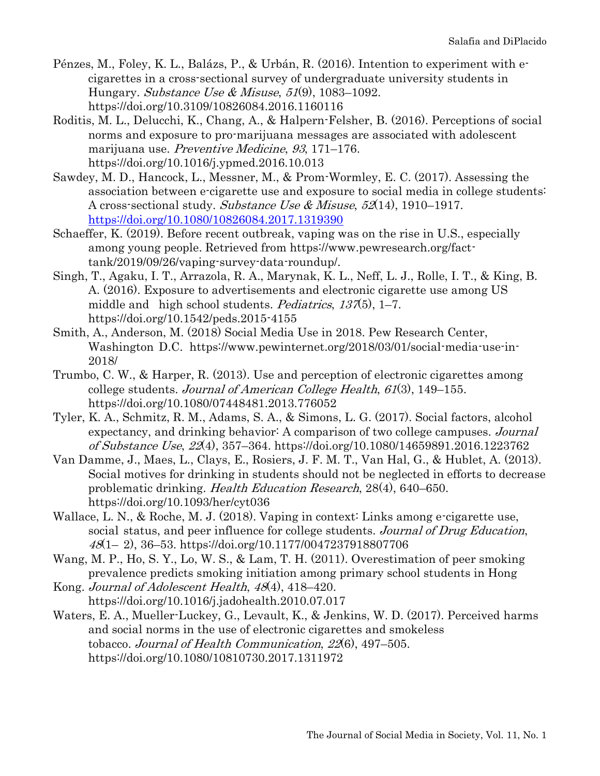- Pénzes, M., Foley, K. L., Balázs, P., & Urbán, R. (2016). Intention to experiment with ecigarettes in a cross-sectional survey of undergraduate university students in Hungary. Substance Use & Misuse,  $51(9)$ , 1083–1092. https://doi.org/10.3109/10826084.2016.1160116
- Roditis, M. L., Delucchi, K., Chang, A., & Halpern-Felsher, B. (2016). Perceptions of social norms and exposure to pro-marijuana messages are associated with adolescent marijuana use. Preventive Medicine, 93, 171–176. https://doi.org/10.1016/j.ypmed.2016.10.013
- Sawdey, M. D., Hancock, L., Messner, M., & Prom-Wormley, E. C. (2017). Assessing the association between e-cigarette use and exposure to social media in college students: A cross-sectional study. Substance Use & Misuse,  $52(14)$ , 1910–1917. <https://doi.org/10.1080/10826084.2017.1319390>
- Schaeffer, K. (2019). Before recent outbreak, vaping was on the rise in U.S., especially among young people. Retrieved from https://www.pewresearch.org/facttank/2019/09/26/vaping-survey-data-roundup/.
- Singh, T., Agaku, I. T., Arrazola, R. A., Marynak, K. L., Neff, L. J., Rolle, I. T., & King, B. A. (2016). Exposure to advertisements and electronic cigarette use among US middle and high school students. Pediatrics,  $137(5)$ , 1–7. https://doi.org/10.1542/peds.2015-4155
- Smith, A., Anderson, M. (2018) Social Media Use in 2018. Pew Research Center, Washington D.C. https://www.pewinternet.org/2018/03/01/social-media-use-in-2018/
- Trumbo, C. W., & Harper, R. (2013). Use and perception of electronic cigarettes among college students. Journal of American College Health,  $61(3)$ , 149–155. https://doi.org/10.1080/07448481.2013.776052
- Tyler, K. A., Schmitz, R. M., Adams, S. A., & Simons, L. G. (2017). Social factors, alcohol expectancy, and drinking behavior: A comparison of two college campuses. Journal of Substance Use, 22(4), 357–364. https://doi.org/10.1080/14659891.2016.1223762
- Van Damme, J., Maes, L., Clays, E., Rosiers, J. F. M. T., Van Hal, G., & Hublet, A. (2013). Social motives for drinking in students should not be neglected in efforts to decrease problematic drinking. Health Education Research, 28(4), 640–650. https://doi.org/10.1093/her/cyt036
- Wallace, L. N., & Roche, M. J. (2018). Vaping in context: Links among e-cigarette use, social status, and peer influence for college students. Journal of Drug Education,  $48(1-2), 36-53.$  https://doi.org/10.1177/0047237918807706
- Wang, M. P., Ho, S. Y., Lo, W. S., & Lam, T. H. (2011). Overestimation of peer smoking prevalence predicts smoking initiation among primary school students in Hong
- Kong. Journal of Adolescent Health, 48(4), 418–420. https://doi.org/10.1016/j.jadohealth.2010.07.017
- Waters, E. A., Mueller-Luckey, G., Levault, K., & Jenkins, W. D. (2017). Perceived harms and social norms in the use of electronic cigarettes and smokeless tobacco. Journal of Health Communication, 22(6), 497–505. https://doi.org/10.1080/10810730.2017.1311972